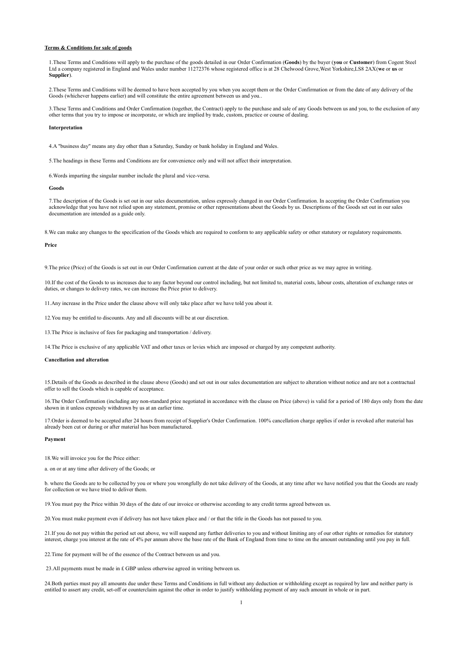## **Terms & Conditions for sale of goods**

1.These Terms and Conditions will apply to the purchase of the goods detailed in our Order Confirmation (**Goods**) by the buyer (**you** or **Customer**) from Cogent Steel Ltd a company registered in England and Wales under number 11272376 whose registered office is at 28 Chelwood Grove,West Yorkshire,LS8 2AX(**we** or **us** or **Supplier**).

2.These Terms and Conditions will be deemed to have been accepted by you when you accept them or the Order Confirmation or from the date of any delivery of the Goods (whichever happens earlier) and will constitute the entire agreement between us and you..

3.These Terms and Conditions and Order Confirmation (together, the Contract) apply to the purchase and sale of any Goods between us and you, to the exclusion of any other terms that you try to impose or incorporate, or which are implied by trade, custom, practice or course of dealing.

### **Interpretation**

4.A "business day" means any day other than a Saturday, Sunday or bank holiday in England and Wales.

5.The headings in these Terms and Conditions are for convenience only and will not affect their interpretation.

6.Words imparting the singular number include the plural and vice-versa.

#### **Goods**

7.The description of the Goods is set out in our sales documentation, unless expressly changed in our Order Confirmation. In accepting the Order Confirmation you acknowledge that you have not relied upon any statement, promise or other representations about the Goods by us. Descriptions of the Goods set out in our sales documentation are intended as a guide only.

8.We can make any changes to the specification of the Goods which are required to conform to any applicable safety or other statutory or regulatory requirements.

## **Price**

9.The price (Price) of the Goods is set out in our Order Confirmation current at the date of your order or such other price as we may agree in writing.

10.If the cost of the Goods to us increases due to any factor beyond our control including, but not limited to, material costs, labour costs, alteration of exchange rates or duties, or changes to delivery rates, we can increase the Price prior to delivery.

11.Any increase in the Price under the clause above will only take place after we have told you about it.

12.You may be entitled to discounts. Any and all discounts will be at our discretion.

13.The Price is inclusive of fees for packaging and transportation / delivery.

14.The Price is exclusive of any applicable VAT and other taxes or levies which are imposed or charged by any competent authority.

### **Cancellation and alteration**

15.Details of the Goods as described in the clause above (Goods) and set out in our sales documentation are subject to alteration without notice and are not a contractual offer to sell the Goods which is capable of acceptance.

16.The Order Confirmation (including any non-standard price negotiated in accordance with the clause on Price (above) is valid for a period of 180 days only from the date shown in it unless expressly withdrawn by us at an earlier time.

17.Order is deemed to be accepted after 24 hours from receipt of Supplier's Order Confirmation. 100% cancellation charge applies if order is revoked after material has already been cut or during or after material has been manufactured.

#### **Payment**

18.We will invoice you for the Price either:

a. on or at any time after delivery of the Goods; or

b. where the Goods are to be collected by you or where you wrongfully do not take delivery of the Goods, at any time after we have notified you that the Goods are ready for collection or we have tried to deliver them.

19.You must pay the Price within 30 days of the date of our invoice or otherwise according to any credit terms agreed between us.

20.You must make payment even if delivery has not have taken place and / or that the title in the Goods has not passed to you.

21.If you do not pay within the period set out above, we will suspend any further deliveries to you and without limiting any of our other rights or remedies for statutory interest, charge you interest at the rate of 4% per annum above the base rate of the Bank of England from time to time on the amount outstanding until you pay in full.

22.Time for payment will be of the essence of the Contract between us and you.

23.All payments must be made in £ GBP unless otherwise agreed in writing between us.

24.Both parties must pay all amounts due under these Terms and Conditions in full without any deduction or withholding except as required by law and neither party is entitled to assert any credit, set-off or counterclaim against the other in order to justify withholding payment of any such amount in whole or in part.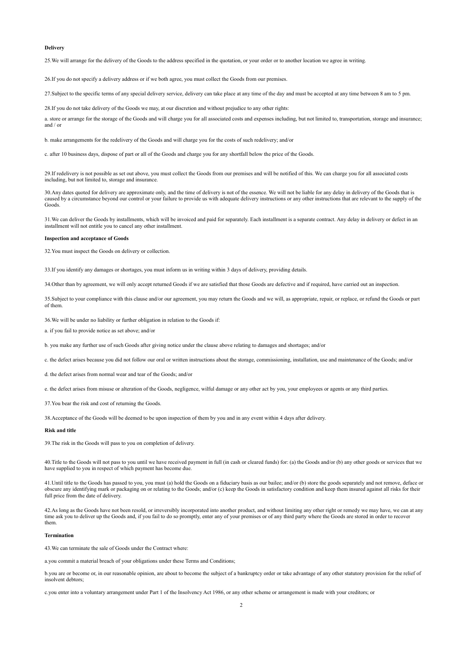### **Delivery**

25.We will arrange for the delivery of the Goods to the address specified in the quotation, or your order or to another location we agree in writing.

26.If you do not specify a delivery address or if we both agree, you must collect the Goods from our premises.

27.Subject to the specific terms of any special delivery service, delivery can take place at any time of the day and must be accepted at any time between 8 am to 5 pm.

28.If you do not take delivery of the Goods we may, at our discretion and without prejudice to any other rights:

a. store or arrange for the storage of the Goods and will charge you for all associated costs and expenses including, but not limited to, transportation, storage and insurance; and / or

b. make arrangements for the redelivery of the Goods and will charge you for the costs of such redelivery; and/or

c. after 10 business days, dispose of part or all of the Goods and charge you for any shortfall below the price of the Goods.

29.If redelivery is not possible as set out above, you must collect the Goods from our premises and will be notified of this. We can charge you for all associated costs including, but not limited to, storage and insurance.

30.Any dates quoted for delivery are approximate only, and the time of delivery is not of the essence. We will not be liable for any delay in delivery of the Goods that is caused by a circumstance beyond our control or your failure to provide us with adequate delivery instructions or any other instructions that are relevant to the supply of the Goods.

31.We can deliver the Goods by installments, which will be invoiced and paid for separately. Each installment is a separate contract. Any delay in delivery or defect in an installment will not entitle you to cancel any other installment.

### **Inspection and acceptance of Goods**

32.You must inspect the Goods on delivery or collection.

33.If you identify any damages or shortages, you must inform us in writing within 3 days of delivery, providing details.

34.Other than by agreement, we will only accept returned Goods if we are satisfied that those Goods are defective and if required, have carried out an inspection.

35.Subject to your compliance with this clause and/or our agreement, you may return the Goods and we will, as appropriate, repair, or replace, or refund the Goods or part of them.

36.We will be under no liability or further obligation in relation to the Goods if:

a. if you fail to provide notice as set above; and/or

b. you make any further use of such Goods after giving notice under the clause above relating to damages and shortages; and/or

c. the defect arises because you did not follow our oral or written instructions about the storage, commissioning, installation, use and maintenance of the Goods; and/or

d. the defect arises from normal wear and tear of the Goods; and/or

e. the defect arises from misuse or alteration of the Goods, negligence, wilful damage or any other act by you, your employees or agents or any third parties.

37.You bear the risk and cost of returning the Goods.

38.Acceptance of the Goods will be deemed to be upon inspection of them by you and in any event within 4 days after delivery.

### **Risk and title**

39.The risk in the Goods will pass to you on completion of delivery.

40.Title to the Goods will not pass to you until we have received payment in full (in cash or cleared funds) for: (a) the Goods and/or (b) any other goods or services that we have supplied to you in respect of which payment has become due.

41. Until title to the Goods has passed to you, you must (a) hold the Goods on a fiduciary basis as our bailee; and/or (b) store the goods separately and not remove, deface or obscure any identifying mark or packaging on or relating to the Goods; and/or (c) keep the Goods in satisfactory condition and keep them insured against all risks for their full price from the date of delivery.

42.As long as the Goods have not been resold, or irreversibly incorporated into another product, and without limiting any other right or remedy we may have, we can at any time ask you to deliver up the Goods and, if you fail to do so promptly, enter any of your premises or of any third party where the Goods are stored in order to recover them.

#### **Termination**

43.We can terminate the sale of Goods under the Contract where:

a.you commit a material breach of your obligations under these Terms and Conditions;

b.you are or become or, in our reasonable opinion, are about to become the subject of a bankruptcy order or take advantage of any other statutory provision for the relief of insolvent debtors;

c.you enter into a voluntary arrangement under Part 1 of the Insolvency Act 1986, or any other scheme or arrangement is made with your creditors; or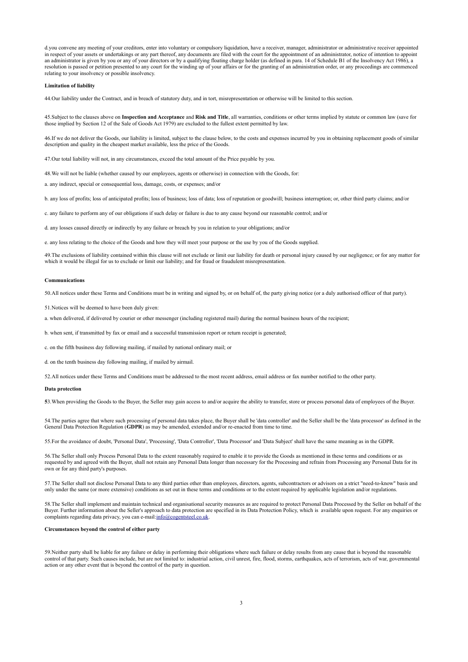d.you convene any meeting of your creditors, enter into voluntary or compulsory liquidation, have a receiver, manager, administrator or administrative receiver appointed in respect of your assets or undertakings or any part thereof, any documents are filed with the court for the appointment of an administrator, notice of intention to appoint an administrator is given by you or any of your directors or by a qualifying floating charge holder (as defined in para. 14 of Schedule B1 of the Insolvency Act 1986), a resolution is passed or petition presented to any court for the winding up of your affairs or for the granting of an administration order, or any proceedings are commenced relating to your insolvency or possible insolvency.

### **Limitation of liability**

44.Our liability under the Contract, and in breach of statutory duty, and in tort, misrepresentation or otherwise will be limited to this section.

45.Subject to the clauses above on **Inspection and Acceptance** and **Risk and Title**, all warranties, conditions or other terms implied by statute or common law (save for those implied by Section 12 of the Sale of Goods Act 1979) are excluded to the fullest extent permitted by law.

46.If we do not deliver the Goods, our liability is limited, subject to the clause below, to the costs and expenses incurred by you in obtaining replacement goods of similar description and quality in the cheapest market available, less the price of the Goods.

47.Our total liability will not, in any circumstances, exceed the total amount of the Price payable by you.

48.We will not be liable (whether caused by our employees, agents or otherwise) in connection with the Goods, for:

a. any indirect, special or consequential loss, damage, costs, or expenses; and/or

b. any loss of profits; loss of anticipated profits; loss of business; loss of data; loss of reputation or goodwill; business interruption; or, other third party claims; and/or

c. any failure to perform any of our obligations if such delay or failure is due to any cause beyond our reasonable control; and/or

d. any losses caused directly or indirectly by any failure or breach by you in relation to your obligations; and/or

e. any loss relating to the choice of the Goods and how they will meet your purpose or the use by you of the Goods supplied.

49.The exclusions of liability contained within this clause will not exclude or limit our liability for death or personal injury caused by our negligence; or for any matter for which it would be illegal for us to exclude or limit our liability; and for fraud or fraudulent misrepresentation.

### **Communications**

50.All notices under these Terms and Conditions must be in writing and signed by, or on behalf of, the party giving notice (or a duly authorised officer of that party).

51.Notices will be deemed to have been duly given:

a. when delivered, if delivered by courier or other messenger (including registered mail) during the normal business hours of the recipient;

b. when sent, if transmitted by fax or email and a successful transmission report or return receipt is generated;

c. on the fifth business day following mailing, if mailed by national ordinary mail; or

d. on the tenth business day following mailing, if mailed by airmail.

52.All notices under these Terms and Conditions must be addressed to the most recent address, email address or fax number notified to the other party.

### **Data protection**

**5**3.When providing the Goods to the Buyer, the Seller may gain access to and/or acquire the ability to transfer, store or process personal data of employees of the Buyer.

54.The parties agree that where such processing of personal data takes place, the Buyer shall be 'data controller' and the Seller shall be the 'data processor' as defined in the General Data Protection Regulation (**GDPR**) as may be amended, extended and/or re-enacted from time to time.

55.For the avoidance of doubt, 'Personal Data', 'Processing', 'Data Controller', 'Data Processor' and 'Data Subject' shall have the same meaning as in the GDPR.

56.The Seller shall only Process Personal Data to the extent reasonably required to enable it to provide the Goods as mentioned in these terms and conditions or as requested by and agreed with the Buyer, shall not retain any Personal Data longer than necessary for the Processing and refrain from Processing any Personal Data for its own or for any third party's purposes.

57.The Seller shall not disclose Personal Data to any third parties other than employees, directors, agents, subcontractors or advisors on a strict "need-to-know" basis and only under the same (or more extensive) conditions as set out in these terms and conditions or to the extent required by applicable legislation and/or regulations.

58.The Seller shall implement and maintain technical and organisational security measures as are required to protect Personal Data Processed by the Seller on behalf of the Buyer. Further information about the Seller's approach to data protection are specified in its Data Protection Policy, which is available upon request. For any enquiries or complaints regarding data privacy, you can e-mail[: info@cogentsteel.co.uk.](mailto:info@cogentsteel.co.uk)

## **Circumstances beyond the control of either party**

59.Neither party shall be liable for any failure or delay in performing their obligations where such failure or delay results from any cause that is beyond the reasonable control of that party. Such causes include, but are not limited to: industrial action, civil unrest, fire, flood, storms, earthquakes, acts of terrorism, acts of war, governmental action or any other event that is beyond the control of the party in question.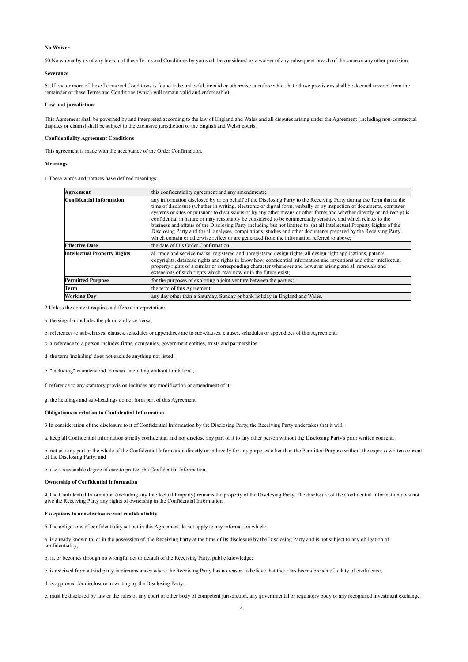## **No Waiver**

60.No waiver by us of any breach of these Terms and Conditions by you shall be considered as a waiver of any subsequent breach of the same or any other provision.

## **Severance**

61.If one or more of these Terms and Conditions is found to be unlawful, invalid or otherwise unenforceable, that / those provisions shall be deemed severed from the remainder of these Terms and Conditions (which will remain valid and enforceable).

#### **Law and jurisdiction**

This Agreement shall be governed by and interpreted according to the law of England and Wales and all disputes arising under the Agreement (including non-contractual disputes or claims) shall be subject to the exclusive jurisdiction of the English and Welsh courts.

## **Confidentiality Agreement Conditions**

This agreement is made with the acceptance of the Order Confirmation.

### **Meanings**

1.These words and phrases have defined meanings:

| Agreement                           | this confidentiality agreement and any amendments;                                                                                                                                                                                                                                                                                                                                                                                                                                                                                                                                                                                                                                                                                                                                                                                  |
|-------------------------------------|-------------------------------------------------------------------------------------------------------------------------------------------------------------------------------------------------------------------------------------------------------------------------------------------------------------------------------------------------------------------------------------------------------------------------------------------------------------------------------------------------------------------------------------------------------------------------------------------------------------------------------------------------------------------------------------------------------------------------------------------------------------------------------------------------------------------------------------|
| Confidential Information            | any information disclosed by or on behalf of the Disclosing Party to the Receiving Party during the Term that at the<br>time of disclosure (whether in writing, electronic or digital form, verbally or by inspection of documents, computer<br>systems or sites or pursuant to discussions or by any other means or other forms and whether directly or indirectly is<br>confidential in nature or may reasonably be considered to be commercially sensitive and which relates to the<br>business and affairs of the Disclosing Party including but not limited to: (a) all Intellectual Property Rights of the<br>Disclosing Party and (b) all analyses, compilations, studies and other documents prepared by the Receiving Party<br>which contain or otherwise reflect or are generated from the information referred to above; |
| <b>Effective Date</b>               | the date of this Order Confirmation;                                                                                                                                                                                                                                                                                                                                                                                                                                                                                                                                                                                                                                                                                                                                                                                                |
| <b>Intellectual Property Rights</b> | all trade and service marks, registered and unregistered design rights, all design right applications, patents,<br>copyrights, database rights and rights in know how, confidential information and inventions and other intellectual<br>property rights of a similar or corresponding character whenever and however arising and all renewals and<br>extensions of such rights which may now or in the future exist;                                                                                                                                                                                                                                                                                                                                                                                                               |
| <b>Permitted Purpose</b>            | for the purposes of exploring a joint venture between the parties;                                                                                                                                                                                                                                                                                                                                                                                                                                                                                                                                                                                                                                                                                                                                                                  |
| Term                                | the term of this Agreement:                                                                                                                                                                                                                                                                                                                                                                                                                                                                                                                                                                                                                                                                                                                                                                                                         |
| <b>Working Day</b>                  | any day other than a Saturday, Sunday or bank holiday in England and Wales.                                                                                                                                                                                                                                                                                                                                                                                                                                                                                                                                                                                                                                                                                                                                                         |

2.Unless the context requires a different interpretation:

a. the singular includes the plural and vice versa;

b. references to sub-clauses, clauses, schedules or appendices are to sub-clauses, clauses, schedules or appendices of this Agreement;

c. a reference to a person includes firms, companies, government entities, trusts and partnerships;

d. the term 'including' does not exclude anything not listed;

e. "including" is understood to mean "including without limitation";

f. reference to any statutory provision includes any modification or amendment of it;

g. the headings and sub-headings do not form part of this Agreement.

# **Obligations in relation to Confidential Information**

3.In consideration of the disclosure to it of Confidential Information by the Disclosing Party, the Receiving Party undertakes that it will:

a. keep all Confidential Information strictly confidential and not disclose any part of it to any other person without the Disclosing Party's prior written consent;

b. not use any part or the whole of the Confidential Information directly or indirectly for any purposes other than the Permitted Purpose without the express written consent of the Disclosing Party; and

c. use a reasonable degree of care to protect the Confidential Information.

### **Ownership of Confidential Information**

4.The Confidential Information (including any Intellectual Property) remains the property of the Disclosing Party. The disclosure of the Confidential Information does not give the Receiving Party any rights of ownership in the Confidential Information.

### **Exceptions to non-disclosure and confidentiality**

5.The obligations of confidentiality set out in this Agreement do not apply to any information which:

a. is already known to, or in the possession of, the Receiving Party at the time of its disclosure by the Disclosing Party and is not subject to any obligation of confidentiality;

b. is, or becomes through no wrongful act or default of the Receiving Party, public knowledge;

c. is received from a third party in circumstances where the Receiving Party has no reason to believe that there has been a breach of a duty of confidence;

d. is approved for disclosure in writing by the Disclosing Party;

e. must be disclosed by law or the rules of any court or other body of competent jurisdiction, any governmental or regulatory body or any recognised investment exchange.